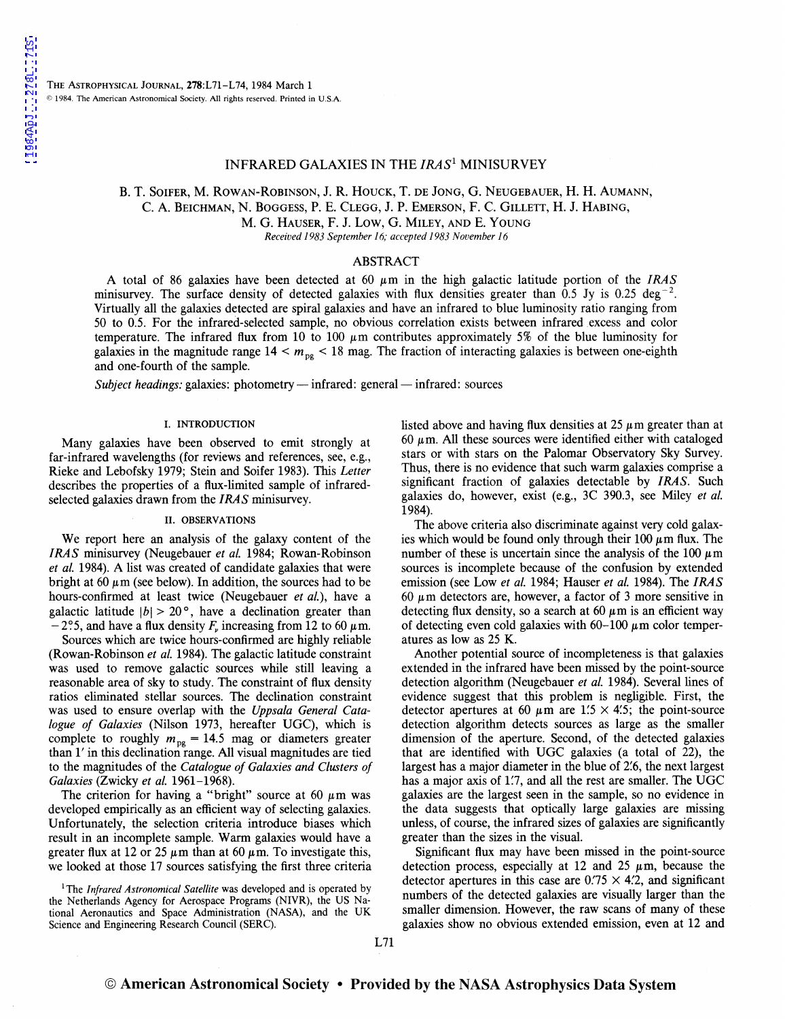# INFRARED GALAXIES IN THE *IRAS*1 MINISURVEY

# B. T. SOIFER, M. ROWAN-ROBINSON, J. R. HOUCK, T. DE JONG, G. NEUGEBAUER, H. H. AUMANN, C. A. BEICHMAN, N. BOGGESS, P. E. CLEGG, J. P. EMERSON, F. C. GILLETT, H. J. HADING,

M. G. HAUSER, F. J. Low, G. MILEY, AND E. YOUNG

*Received 1983September16; accepted 1983November16* 

## ABSTRACT

A total of 86 galaxies have been detected at 60 µm in the high galactic latitude portion of the *IRAS*  minisurvey. The surface density of detected galaxies with flux densities greater than 0.5 Jy is 0.25 deg<sup>-2</sup>. Virtually all the galaxies detected are spiral galaxies and have an infrared to blue luminosity ratio ranging from 50 to 0.5. For the infrared-selected sample, no obvious correlation exists between infrared excess and color temperature. The infrared flux from 10 to 100  $\mu$ m contributes approximately 5% of the blue luminosity for galaxies in the magnitude range  $14 < m<sub>pe</sub> < 18$  mag. The fraction of interacting galaxies is between one-eighth and one-fourth of the sample.

*Subject headings: galaxies: photometry — infrared: general — infrared: sources* 

### I. INTRODUCTION

Many galaxies have been observed to emit strongly at far-infrared wavelengths (for reviews and references, see, e.g., Rieke and Lebofsky 1979; Stein and Soifer 1983). This *Letter*  describes the properties of a flux-limited sample of infraredselected galaxies drawn from the *IRAS* minisurvey.

#### II. OBSERVATIONS

We report here an analysis of the galaxy content of the *IRAS* minisurvey (Neugebauer *et al.* 1984; Rowan-Robinson *et al.* 1984). A list was created of candidate galaxies that were bright at 60  $\mu$ m (see below). In addition, the sources had to be hours-confirmed at least twice (Neugebauer *et al.),* have a galactic latitude  $|b| > 20^{\circ}$ , have a declination greater than  $-2$ °.5, and have a flux density  $F<sub>v</sub>$  increasing from 12 to 60  $\mu$ m.

Sources which are twice hours-confirmed are highly reliable (Rowan-Robinson *et al.* 1984). The galactic latitude constraint was used to remove galactic sources while still leaving a reasonable area of sky to study. The constraint of flux density ratios eliminated stellar sources. The declination constraint was used to ensure overlap with the *Uppsala General Catalogue of Galaxies* (Nilson 1973, hereafter UGC), which is complete to roughly  $m_{\text{pg}} = 14.5$  mag or diameters greater than 1' in this declination range. All visual magnitudes are tied to the magnitudes of the *Catalogue of Galaxies and Clusters of Galaxies* (Zwicky *et al.* 1961-1968).

The criterion for having a "bright" source at 60  $\mu$ m was developed empirically as an efficient way of selecting galaxies. Unfortunately, the selection criteria introduce biases which result in an incomplete sample. Warm galaxies would have a greater flux at 12 or 25  $\mu$ m than at 60  $\mu$ m. To investigate this, we looked at those 17 sources satisfying the first three criteria

<sup>1</sup>The *Infrared Astronomical Satellite* was developed and is operated by the Netherlands Agency for Aerospace Programs (NIVR), the US National Aeronautics and Space Administration (NASA), and the UK Science and Engineering Research Council (SERC).

listed above and having flux densities at  $25 \mu$ m greater than at 60  $\mu$ m. All these sources were identified either with cataloged stars or with stars on the Palomar Observatory Sky Survey. Thus, there is no evidence that such warm galaxies comprise a significant fraction of galaxies detectable by *IRAS.* Such galaxies do, however, exist (e.g., 3C 390.3, see Miley *et al.*  1984).

The above criteria also discriminate against very cold galaxies which would be found only through their 100  $\mu$ m flux. The number of these is uncertain since the analysis of the 100  $\mu$ m sources is incomplete because of the confusion by extended emission (see Low *et al.* 1984; Hauser *et al.* 1984). The *IRAS*  60  $\mu$ m detectors are, however, a factor of 3 more sensitive in detecting flux density, so a search at 60  $\mu$ m is an efficient way of detecting even cold galaxies with  $60-100 \mu$ m color temperatures as low as 25 K.

Another potential source of incompleteness is that galaxies extended in the infrared have been missed by the point-source detection algorithm (Neugebauer *et al.* 1984). Several lines of evidence suggest that this problem is negligible. First, the detector apertures at 60  $\mu$ m are 1.5  $\times$  4.5; the point-source detection algorithm detects sources as large as the smaller dimension of the aperture. Second, of the detected galaxies that are identified with UGC galaxies (a total of 22), the largest has a major diameter in the blue of 2'.6, the next largest has a major axis of 1.7, and all the rest are smaller. The UGC galaxies are the largest seen in the sample, so no evidence in the data suggests that optically large galaxies are missing unless, of course, the infrared sizes of galaxies are significantly greater than the sizes in the visual.

Significant flux may have been missed in the point-source detection process, especially at 12 and 25  $\mu$ m, because the detector apertures in this case are  $0.75 \times 4.2$ , and significant numbers of the detected galaxies are visually larger than the smaller dimension. However, the raw scans of many of these galaxies show no obvious extended emission, even at 12 and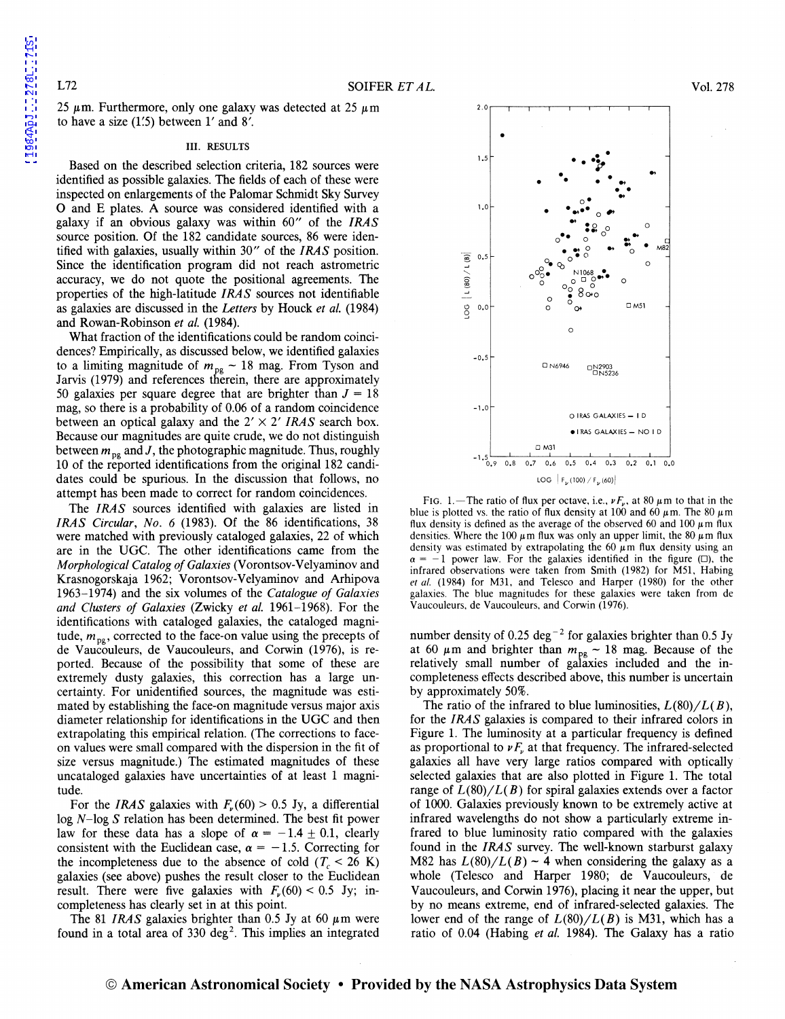25  $\mu$ m. Furthermore, only one galaxy was detected at 25  $\mu$ m to have a size  $(1'5)$  between  $1'$  and  $8'$ .

#### III. RESULTS

Based on the described selection criteria, 182 sources were identified as possible galaxies. The fields of each of these were inspected on enlargements of the Palomar Schmidt Sky Survey 0 and E plates. A source was considered identified with a galaxy if an obvious galaxy was within 60" of the *IRAS*  source position. Of the 182 candidate sources, 86 were identified with galaxies, usually within 30" of the *IRAS* position. Since the identification program did not reach astrometric accuracy, we do not quote the positional agreements. The properties of the high-latitude *IRAS* sources not identifiable as galaxies are discussed in the *Letters* by Houck *et al.* (1984) and Rowan-Robinson *et al.* (1984).

What fraction of the identifications could be random coincidences? Empirically, as discussed below, we identified galaxies to a limiting magnitude of  $m_{pg} \sim 18$  mag. From Tyson and Jarvis (1979) and references therein, there are approximately 50 galaxies per square degree that are brighter than  $J = 18$ mag, so there is a probability of 0.06 of a random coincidence between an optical galaxy and the  $2' \times 2'$  *IRAS* search box. Because our magnitudes are quite crude, we do not distinguish between  $m_{\text{pe}}$  and J, the photographic magnitude. Thus, roughly 10 of the reported identifications from the original 182 candidates could be spurious. In the discussion that follows, no attempt has been made to correct for random coincidences.

The *IRAS* sources identified with galaxies are listed in *IRAS Circular, No. 6* (1983). Of the 86 identifications, 38 were matched with previously cataloged galaxies, 22 of which are in the UGC. The other identifications came from the *Morphological Catalog of Galaxies* (Vorontsov-Velyaminov and Krasnogorskaja 1962; Vorontsov-Velyaminov and Arhipova 1963-1974) and the six volumes of the *Catalogue of Galaxies and Clusters of Galaxies* (Zwicky *et al.* 1961-1968). For the identifications with cataloged galaxies, the cataloged magnitude,  $m_{pg}$ , corrected to the face-on value using the precepts of de Vaucouleurs, de Vaucouleurs, and Corwin (1976), is reported. Because of the possibility that some of these are extremely dusty galaxies, this correction has a large uncertainty. For unidentified sources, the magnitude was estimated by establishing the face-on magnitude versus major axis diameter relationship for identifications in the UGC and then extrapolating this empirical relation. (The corrections to faceon values were small compared with the dispersion in the fit of size versus magnitude.) The estimated magnitudes of these uncataloged galaxies have uncertainties of at least 1 magnitude.

For the *IRAS* galaxies with  $F_{\nu}(60) > 0.5$  Jy, a differential log N-log *S* relation has been determined. The best fit power law for these data has a slope of  $\alpha = -1.4 \pm 0.1$ , clearly consistent with the Euclidean case,  $\alpha = -1.5$ . Correcting for the incompleteness due to the absence of cold  $(T_c < 26 \text{ K})$ galaxies (see above) pushes the result closer to the Euclidean result. There were five galaxies with  $F_{v}(60) < 0.5$  Jy; incompleteness has clearly set in at this point.

The 81 *IRAS* galaxies brighter than 0.5 Jy at 60  $\mu$ m were found in a total area of  $330 \text{ deg}^2$ . This implies an integrated



FIG. 1.-The ratio of flux per octave, i.e.,  $\nu F_{\nu}$ , at 80  $\mu$ m to that in the blue is plotted vs. the ratio of flux density at 100 and 60  $\mu$ m. The 80  $\mu$ m flux density is defined as the average of the observed 60 and 100  $\mu$ m flux densities. Where the 100  $\mu$ m flux was only an upper limit, the 80  $\mu$ m flux density was estimated by extrapolating the 60  $\mu$ m flux density using an  $\alpha = -1$  power law. For the galaxies identified in the figure ( $\square$ ), the infrared observations were taken from Smith (1982) for M51, Habing *et al.* (1984) for M31, and Telesco and Harper (1980) for the other galaxies. The blue magnitudes for these galaxies were taken from de Vaucouleurs, de Vaucouleurs, and Corwin (1976).

number density of 0.25 deg<sup>-2</sup> for galaxies brighter than 0.5 Jy at 60  $\mu$ m and brighter than  $m_{pg} \sim 18$  mag. Because of the relatively small number of galaxies included and the incompleteness effects described above, this number is uncertain by approximately 50%.

The ratio of the infrared to blue luminosities,  $L(80)/L(B)$ , for the *IRAS* galaxies is compared to their infrared colors in Figure 1. The luminosity at a particular frequency is defined as proportional to  $\nu F_n$ , at that frequency. The infrared-selected galaxies all have very large ratios compared with optically selected galaxies that are also plotted in Figure 1. The total range of  $L(80)/L(B)$  for spiral galaxies extends over a factor of 1000. Galaxies previously known to be extremely active at infrared wavelengths do not show a particularly extreme infrared to blue luminosity ratio compared with the galaxies found in the *IRAS* survey. The well-known starburst galaxy M82 has  $L(80)/L(B) \sim 4$  when considering the galaxy as a whole (Telesco and Harper 1980; de Vaucouleurs, de Vaucouleurs, and Corwin 1976), placing it near the upper, but by no means extreme, end of infrared-selected galaxies. The lower end of the range of  $L(80)/L(B)$  is M31, which has a ratio of 0.04 (Habing *et al.* 1984). The Galaxy has a ratio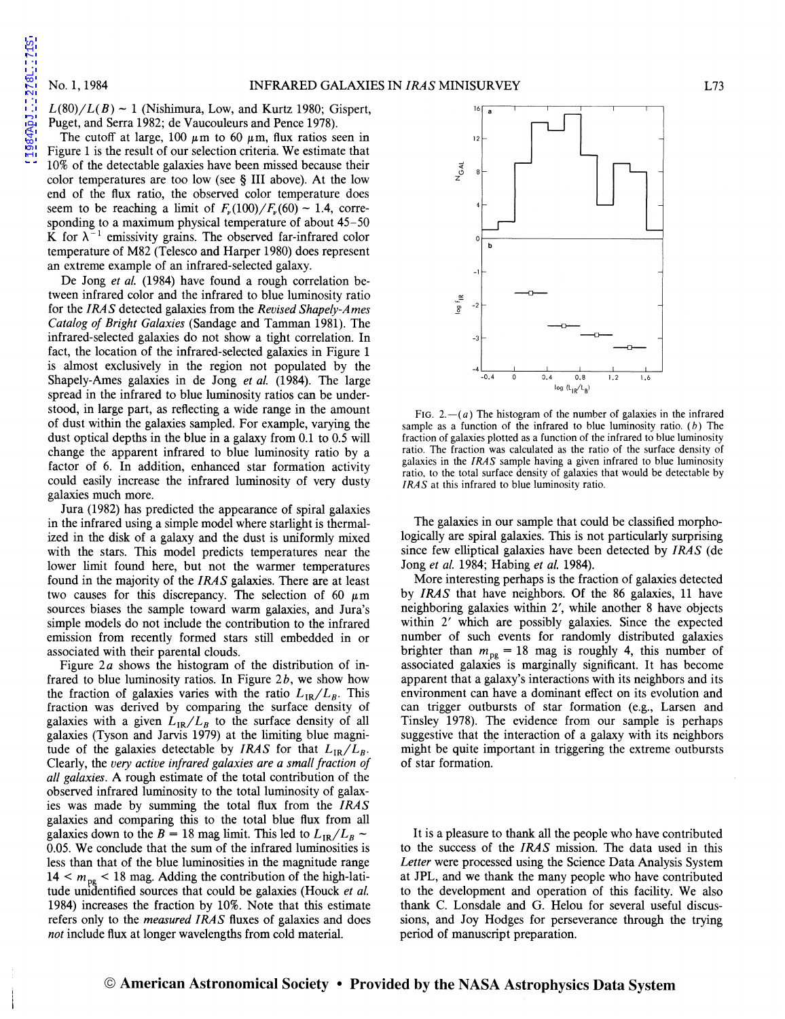[1984ApJ...278L..71S](http://adsabs.harvard.edu/abs/1984ApJ...278L..71S)

1984ApJ...278L..71S

 $L(80)/L(B) \sim 1$  (Nishimura, Low, and Kurtz 1980; Gispert, Puget, and Serra 1982; de Vaucouleurs and Pence 1978).

The cutoff at large, 100  $\mu$ m to 60  $\mu$ m, flux ratios seen in Figure 1 is the result of our selection criteria. We estimate that 10% of the detectable galaxies have been missed because their color temperatures are too low (see § III above). At the low end of the flux ratio, the observed color temperature does seem to be reaching a limit of  $F_{\nu}(100)/F_{\nu}(60) \sim 1.4$ , corresponding to a maximum physical temperature of about 45-50 K for  $\lambda^{-1}$  emissivity grains. The observed far-infrared color temperature of M82 (Telesco and Harper 1980) does represent an extreme example of an infrared-selected galaxy.

De Jong *et al.* (1984) have found a rough correlation between infrared color and the infrared to blue luminosity ratio for the *IRAS* detected galaxies from the *Revised Shapely-Ames Catalog of Bright Galaxies* (Sandage and Tamman 1981). The infrared-selected galaxies do not show a tight correlation. In fact, the location of the infrared-selected galaxies in Figure 1 is almost exclusively in the region not populated by the Shapely-Ames galaxies in de Jong *et al.* (1984). The large spread in the infrared to blue luminosity ratios can be understood, in large part, as reflecting a wide range in the amount of dust within the galaxies sampled. For example, varying the dust optical depths in the blue in a galaxy from 0.1 to 0.5 will change the apparent infrared to blue luminosity ratio by a factor of 6. In addition, enhanced star formation activity could easily increase the infrared luminosity of very dusty galaxies much more.

Jura (1982) has predicted the appearance of spiral galaxies in the infrared using a simple model where starlight is thermalized in the disk of a galaxy and the dust is uniformly mixed with the stars. This model predicts temperatures near the lower limit found here, but not the warmer temperatures found in the majority of the *IRAS* galaxies. There are at least two causes for this discrepancy. The selection of 60  $\mu$ m sources biases the sample toward warm galaxies, and Jura's simple models do not include the contribution to the infrared emission from recently formed stars still embedded in or associated with their parental clouds.

Figure *2a* shows the histogram of the distribution of infrared to blue luminosity ratios. In Figure *2b,* we show how the fraction of galaxies varies with the ratio  $L_{IR}/L_{B}$ . This fraction was derived by comparing the surface density of galaxies with a given  $L_{IR}/L_B$  to the surface density of all galaxies (Tyson and Jarvis 1979) at the limiting blue magnitude of the galaxies detectable by *IRAS* for that  $L_{IR}/L_B$ . Clearly, the *very active infrared galaxies are a small fraction of all galaxies.* A rough estimate of the total contribution of the observed infrared luminosity to the total luminosity of galaxies was made by summing the total flux from the *IRAS*  galaxies and comparing this to the total blue flux from all galaxies down to the *B* = 18 mag limit. This led to  $L_{IR}/L_B \sim$ 0.05. We conclude that the sum of the infrared luminosities is less than that of the blue luminosities in the magnitude range  $14 < m_{pg} < 18$  mag. Adding the contribution of the high-latitude unidentified sources that could be galaxies (Houck *et al.*  1984) increases the fraction by 10%. Note that this estimate refers only to the *measured IRAS* fluxes of galaxies and does *not* include flux at longer wavelengths from cold material.



FIG. 2. $-(a)$  The histogram of the number of galaxies in the infrared sample as a function of the infrared to blue luminosity ratio.  $(b)$  The fraction of galaxies plotted as a function of the infrared to blue luminosity ratio. The fraction was calculated as the ratio of the surface density of galaxies in the *IRAS* sample having a given infrared to blue luminosity ratio, to the total surface density of galaxies that would be detectable by *IRAS* at this infrared to blue luminosity ratio.

The galaxies in our sample that could be classified morphologically are spiral galaxies. This is not particularly surprising since few elliptical galaxies have been detected by *IRAS* (de Jong *et al.* 1984; Habing *et al.* 1984).

More interesting perhaps is the fraction of galaxies detected by *IRAS* that have neighbors. Of the 86 galaxies, 11 have neighboring galaxies within 2', while another 8 have objects within 2' which are possibly galaxies. Since the expected number of such events for randomly distributed galaxies brighter than  $m_{\text{pe}} = 18$  mag is roughly 4, this number of associated galaxies is marginally significant. It has become apparent that a galaxy's interactions with its neighbors and its environment can have a dominant effect on its evolution and can trigger outbursts of star formation (e.g., Larsen and Tinsley 1978). The evidence from our sample is perhaps suggestive that the interaction of a galaxy with its neighbors might be quite important in triggering the extreme outbursts of star formation.

It is a pleasure to thank all the people who have contributed to the success of the *IRAS* mission. The data used in this *Letter* were processed using the Science Data Analysis System at JPL, and we thank the many people who have contributed to the development and operation of this facility. We also thank C. Lonsdale and G. Helou for several useful discussions, and Joy Hodges for perseverance through the trying period of manuscript preparation.